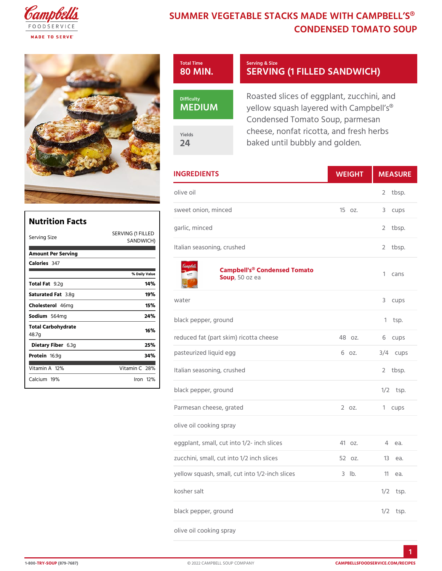## SUMMER VEGETABLE STACKS MADE W CONDENSED TOMATO

| Total Time           | Serving & Size                                                                                    |
|----------------------|---------------------------------------------------------------------------------------------------|
| 80 MIN.              | SERVING (1 FILLED SAN                                                                             |
| Difficulty<br>MEDIUM | Roasted slices of eggplant, zuc<br>yellow squash layered with Cam<br>Condensed Tomato Soup, parme |
| Yields               | cheese, nonfat ricotta, and fres                                                                  |
| 24                   | baked until bubbly and golden.                                                                    |

| <b>INGREDIENTS</b>                                      | WEIGH  | MEASU      |
|---------------------------------------------------------|--------|------------|
| olive oil                                               |        | 2<br>tbsp. |
| sweet onion, minced                                     | 15 oz. | 3<br>cups  |
| garlic, minced<br>FILLED                                |        | 2<br>tbsp. |
| CH)<br>Italian seasoning, crushed                       |        | 2<br>tbsp. |
| Campbell's® Condensed Tomato<br>Sou,p50 oz ea           |        | 1<br>cans  |
| water                                                   |        | 3<br>cups  |
| black pepper, ground                                    |        | tsp.<br>1  |
| reduced fat (part skim) ricotta chee48 oz.              |        | cups<br>6  |
| pasteurized liquid egg                                  | 6 oz.  | $3/4$ cups |
| Italian seasoning, crushed                              |        | 2<br>tbsp. |
| black pepper, ground                                    |        | $1/2$ tsp. |
| Parmesan cheese, grated                                 | 2 oz.  | 1<br>cups  |
| olive oil cooking spray                                 |        |            |
| eggplant, small, cut into 1/2- inch s4ites.             |        | 4<br>e a.  |
| zucchini, small, cut into 1/2 inch slitc2esz.           |        | 13 еа.     |
| yellow squash, small, cut into 1/2-in Chlbslices 11 ea. |        |            |
| kosher salt                                             |        | $1/2$ tsp. |
| black pepper, ground                                    |        | $1/2$ tsp. |
| olive oil cooking spray                                 |        |            |

|                    |                   | o w c |
|--------------------|-------------------|-------|
| Nutrition Facts    |                   |       |
|                    |                   | gar   |
| Serving Size       | SERVING (1 FILLED |       |
|                    | SANDWICH)         |       |
| Amount Per Serving |                   | ltal  |
| Calorie3s47        |                   |       |
|                    | % Daily Vallue    |       |
| Total Fat2g        | 14%               |       |
| Saturated 3F.&mg   | 19%               |       |
| Choleste466 mg     | 15%               | wat   |
| Sodium564mg        | 24%               | blad  |
| Total Carbohydrate |                   |       |
| 48.7g              | 16%               | red   |
| Dietary F6ib3eg    | 25%               |       |
| Proteifi6.9g       | 34%               | pas   |
| Vitamin1A2%        | Vitamin28%        | ltal  |
|                    |                   |       |
| Calcium9%          | $l$ ron $12\%$    |       |
|                    |                   |       |

1